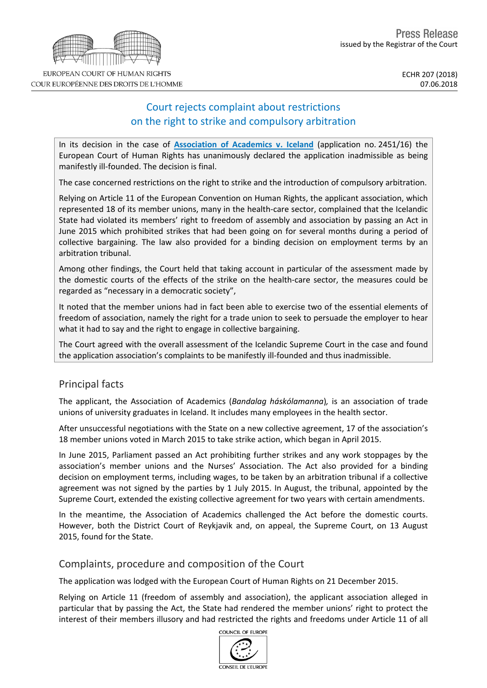# EUROPEAN COURT OF HUMAN RIGHTS COUR EUROPÉENNE DES DROITS DE L'HOMME

# Court rejects complaint about restrictions on the right to strike and compulsory arbitration

In its decision in the case of **[Association](http://hudoc.echr.coe.int/fre?i=001-183375) of Academics v. Iceland** (application no. 2451/16) the European Court of Human Rights has unanimously declared the application inadmissible as being manifestly ill-founded. The decision is final.

The case concerned restrictions on the right to strike and the introduction of compulsory arbitration.

Relying on Article 11 of the European Convention on Human Rights, the applicant association, which represented 18 of its member unions, many in the health-care sector, complained that the Icelandic State had violated its members' right to freedom of assembly and association by passing an Act in June 2015 which prohibited strikes that had been going on for several months during a period of collective bargaining. The law also provided for a binding decision on employment terms by an arbitration tribunal.

Among other findings, the Court held that taking account in particular of the assessment made by the domestic courts of the effects of the strike on the health-care sector, the measures could be regarded as "necessary in a democratic society",

It noted that the member unions had in fact been able to exercise two of the essential elements of freedom of association, namely the right for a trade union to seek to persuade the employer to hear what it had to say and the right to engage in collective bargaining.

The Court agreed with the overall assessment of the Icelandic Supreme Court in the case and found the application association's complaints to be manifestly ill-founded and thus inadmissible.

## Principal facts

The applicant, the Association of Academics (*Bandalag háskólamanna*)*,* is an association of trade unions of university graduates in Iceland. It includes many employees in the health sector.

After unsuccessful negotiations with the State on a new collective agreement, 17 of the association's 18 member unions voted in March 2015 to take strike action, which began in April 2015.

In June 2015, Parliament passed an Act prohibiting further strikes and any work stoppages by the association's member unions and the Nurses' Association. The Act also provided for a binding decision on employment terms, including wages, to be taken by an arbitration tribunal if a collective agreement was not signed by the parties by 1 July 2015. In August, the tribunal, appointed by the Supreme Court, extended the existing collective agreement for two years with certain amendments.

In the meantime, the Association of Academics challenged the Act before the domestic courts. However, both the District Court of Reykjavik and, on appeal, the Supreme Court, on 13 August 2015, found for the State.

## Complaints, procedure and composition of the Court

The application was lodged with the European Court of Human Rights on 21 December 2015.

Relying on Article 11 (freedom of assembly and association), the applicant association alleged in particular that by passing the Act, the State had rendered the member unions' right to protect the interest of their members illusory and had restricted the rights and freedoms under Article 11 of all

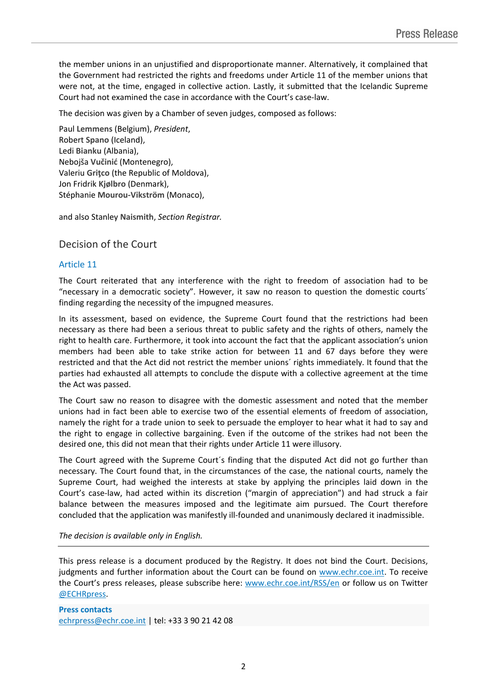the member unions in an unjustified and disproportionate manner. Alternatively, it complained that the Government had restricted the rights and freedoms under Article 11 of the member unions that were not, at the time, engaged in collective action. Lastly, it submitted that the Icelandic Supreme Court had not examined the case in accordance with the Court's case-law.

The decision was given by a Chamber of seven judges, composed as follows:

Paul **Lemmens** (Belgium), *President*, Robert **Spano** (Iceland), Ledi **Bianku** (Albania), Nebojša **Vučinić** (Montenegro), Valeriu **Griţco** (the Republic of Moldova), Jon Fridrik **Kjølbro** (Denmark), Stéphanie **Mourou-Vikström** (Monaco),

and also Stanley **Naismith**, *Section Registrar.*

### Decision of the Court

#### Article 11

The Court reiterated that any interference with the right to freedom of association had to be "necessary in a democratic society". However, it saw no reason to question the domestic courts´ finding regarding the necessity of the impugned measures.

In its assessment, based on evidence, the Supreme Court found that the restrictions had been necessary as there had been a serious threat to public safety and the rights of others, namely the right to health care. Furthermore, it took into account the fact that the applicant association's union members had been able to take strike action for between 11 and 67 days before they were restricted and that the Act did not restrict the member unions´ rights immediately. It found that the parties had exhausted all attempts to conclude the dispute with a collective agreement at the time the Act was passed.

The Court saw no reason to disagree with the domestic assessment and noted that the member unions had in fact been able to exercise two of the essential elements of freedom of association, namely the right for a trade union to seek to persuade the employer to hear what it had to say and the right to engage in collective bargaining. Even if the outcome of the strikes had not been the desired one, this did not mean that their rights under Article 11 were illusory.

The Court agreed with the Supreme Court´s finding that the disputed Act did not go further than necessary. The Court found that, in the circumstances of the case, the national courts, namely the Supreme Court, had weighed the interests at stake by applying the principles laid down in the Court's case-law, had acted within its discretion ("margin of appreciation") and had struck a fair balance between the measures imposed and the legitimate aim pursued. The Court therefore concluded that the application was manifestly ill-founded and unanimously declared it inadmissible.

*The decision is available only in English.*

This press release is a document produced by the Registry. It does not bind the Court. Decisions, judgments and further information about the Court can be found on [www.echr.coe.int](http://www.echr.coe.int/). To receive the Court's press releases, please subscribe here: [www.echr.coe.int/RSS/en](http://www.echr.coe.int/RSS/en) or follow us on Twitter [@ECHRpress.](https://twitter.com/ECHR_Press)

**Press contacts** [echrpress@echr.coe.int](mailto:Echrpress@echr.coe.int) | tel: +33 3 90 21 42 08